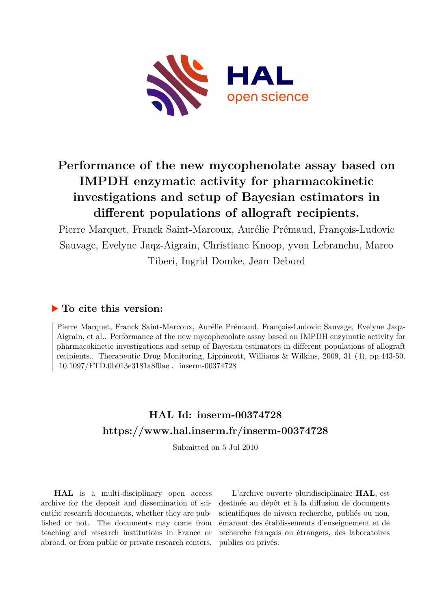

# **Performance of the new mycophenolate assay based on IMPDH enzymatic activity for pharmacokinetic investigations and setup of Bayesian estimators in different populations of allograft recipients.**

Pierre Marquet, Franck Saint-Marcoux, Aurélie Prémaud, François-Ludovic Sauvage, Evelyne Jaqz-Aigrain, Christiane Knoop, yvon Lebranchu, Marco Tiberi, Ingrid Domke, Jean Debord

# **To cite this version:**

Pierre Marquet, Franck Saint-Marcoux, Aurélie Prémaud, François-Ludovic Sauvage, Evelyne Jaqz-Aigrain, et al.. Performance of the new mycophenolate assay based on IMPDH enzymatic activity for pharmacokinetic investigations and setup of Bayesian estimators in different populations of allograft recipients.. Therapeutic Drug Monitoring, Lippincott, Williams & Wilkins, 2009, 31 (4), pp.443-50.  $10.1097/FTD.0b013e3181a8f0ae.$  inserm-00374728

# **HAL Id: inserm-00374728 <https://www.hal.inserm.fr/inserm-00374728>**

Submitted on 5 Jul 2010

**HAL** is a multi-disciplinary open access archive for the deposit and dissemination of scientific research documents, whether they are published or not. The documents may come from teaching and research institutions in France or abroad, or from public or private research centers.

L'archive ouverte pluridisciplinaire **HAL**, est destinée au dépôt et à la diffusion de documents scientifiques de niveau recherche, publiés ou non, émanant des établissements d'enseignement et de recherche français ou étrangers, des laboratoires publics ou privés.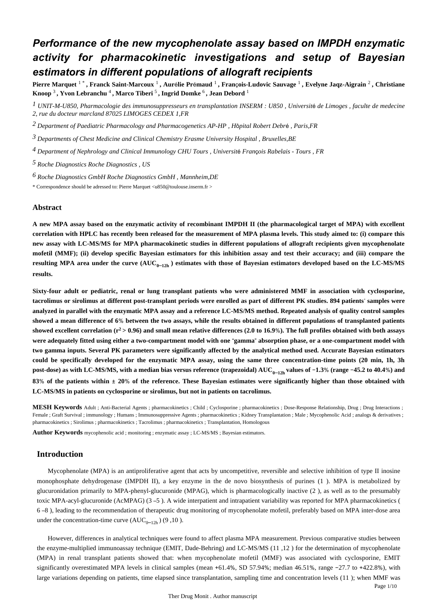# *Performance of the new mycophenolate assay based on IMPDH enzymatic activity for pharmacokinetic investigations and setup of Bayesian estimators in different populations of allograft recipients*

**Pierre Marquet** 1 \* **, Franck Saint-Marcoux** <sup>1</sup> **, Aur**é**lie Pr**é**maud** <sup>1</sup> **, Fran**ç**ois-Ludovic Sauvage** <sup>1</sup> **, Evelyne Jaqz-Aigrain** <sup>2</sup> **, Christiane Knoop** <sup>3</sup> **, Yvon Lebranchu** <sup>4</sup> **, Marco Tiberi** <sup>5</sup> **, Ingrid Domke** <sup>6</sup> **, Jean Debord** <sup>1</sup>

*UNIT-M-U850, Pharmacologie des immunosuppresseurs en transplantation 1 INSERM : U850 , Universit*é *de Limoges , faculte de medecine 2, rue du docteur marcland 87025 LIMOGES CEDEX 1,FR*

*Department of Paediatric Pharmacology and Pharmacogenetics 2 AP-HP , H*ô*pital Robert Debr*<sup>é</sup> *, Paris,FR*

*Departments of Chest Medicine and Clinical Chemistry 3 Erasme University Hospital , Bruxelles,BE*

*Department of Nephrology and Clinical Immunology 4 CHU Tours , Universit*é *Fran*ç*ois Rabelais - Tours , FR*

*Roche Diagnostics 5 Roche Diagnostics , US*

*Roche Diagnostics GmbH 6 Roche Diagnostics GmbH , Mannheim,DE*

\* Correspondence should be adressed to: Pierre Marquet <u850@toulouse.inserm.fr >

#### **Abstract**

**A new MPA assay based on the enzymatic activity of recombinant IMPDH II (the pharmacological target of MPA) with excellent correlation with HPLC has recently been released for the measurement of MPA plasma levels. This study aimed to: (i) compare this new assay with LC-MS/MS for MPA pharmacokinetic studies in different populations of allograft recipients given mycophenolate mofetil (MMF); (ii) develop specific Bayesian estimators for this inhibition assay and test their accuracy; and (iii) compare the resulting MPA area under the curve**  $(AUC_{0-12h})$  **estimates with those of Bayesian estimators developed based on the LC-MS/MS results.**

**Sixty-four adult or pediatric, renal or lung transplant patients who were administered MMF in association with cyclosporine, tacrolimus or sirolimus at different post-transplant periods were enrolled as part of different PK studies. 894 patients**' **samples were analyzed in parallel with the enzymatic MPA assay and a reference LC-MS/MS method. Repeated analysis of quality control samples showed a mean difference of 6**% **between the two assays, while the results obtained in different populations of transplanted patients** showed excellent correlation  $(r^2 > 0.96)$  and small mean relative differences (2.0 to 16.9%). The full profiles obtained with both assays **were adequately fitted using either a two-compartment model with one** "**gamma**" **absorption phase, or a one-compartment model with two gamma inputs. Several PK parameters were significantly affected by the analytical method used. Accurate Bayesian estimators could be specifically developed for the enzymatic MPA assay, using the same three concentration-time points (20 min, 1h, 3h post-dose)** as with LC-MS/MS, with a median bias versus reference (trapezoidal) AUC<sub>0–12h</sub> values of  $-1.3\%$  (range  $-45.2$  to 40.4%) and **83**% **of the patients within** ± **20**% **of the reference. These Bayesian estimates were significantly higher than those obtained with LC-MS/MS in patients on cyclosporine or sirolimus, but not in patients on tacrolimus.**

**MESH Keywords** Adult ; Anti-Bacterial Agents ; pharmacokinetics ; Child ; Cyclosporine ; pharmacokinetics ; Dose-Response Relationship, Drug ; Drug Interactions ; Female ; Graft Survival ; immunology ; Humans ; Immunosuppressive Agents ; pharmacokinetics ; Kidney Transplantation ; Male ; Mycophenolic Acid ; analogs & derivatives ; pharmacokinetics ; Sirolimus ; pharmacokinetics ; Tacrolimus ; pharmacokinetics ; Transplantation, Homologous

**Author Keywords** mycophenolic acid ; monitoring ; enzymatic assay ; LC-MS/MS ; Bayesian estimators.

#### **Introduction**

Mycophenolate (MPA) is an antiproliferative agent that acts by uncompetitive, reversible and selective inhibition of type II inosine monophosphate dehydrogenase (IMPDH II), a key enzyme in the de novo biosynthesis of purines (1 ). MPA is metabolized by glucuronidation primarily to MPA-phenyl-glucuronide (MPAG), which is pharmacologically inactive (2 ), as well as to the presumably toxic MPA-acyl-glucuronide (AcMPAG) (3 –5 ). A wide interpatient and intrapatient variability was reported for MPA pharmacokinetics ( 6 –8 ), leading to the recommendation of therapeutic drug monitoring of mycophenolate mofetil, preferably based on MPA inter-dose area under the concentration-time curve  $(AUC_{0-12h})$  (9,10).

Page 1/10 However, differences in analytical techniques were found to affect plasma MPA measurement. Previous comparative studies between the enzyme-multiplied immunoassay technique (EMIT, Dade-Behring) and LC-MS/MS (11 ,12 ) for the determination of mycophenolate (MPA) in renal transplant patients showed that: when mycophenolate mofetil (MMF) was associated with cyclosporine, EMIT significantly overestimated MPA levels in clinical samples (mean +61.4%, SD 57.94%; median 46.51%, range −27.7 to +422.8%), with large variations depending on patients, time elapsed since transplantation, sampling time and concentration levels (11 ); when MMF was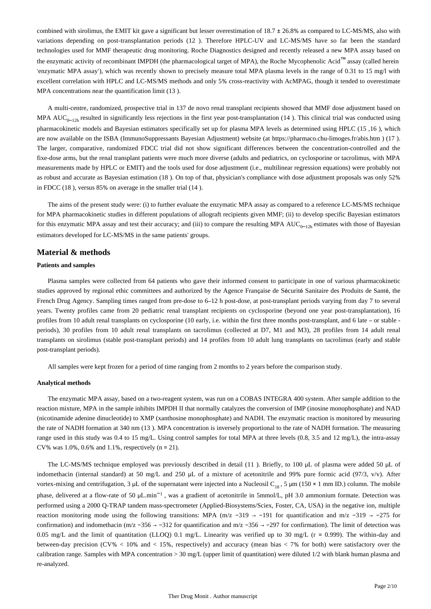combined with sirolimus, the EMIT kit gave a significant but lesser overestimation of  $18.7 \pm 26.8\%$  as compared to LC-MS/MS, also with variations depending on post-transplantation periods (12 ). Therefore HPLC-UV and LC-MS/MS have so far been the standard technologies used for MMF therapeutic drug monitoring. Roche Diagnostics designed and recently released a new MPA assay based on the enzymatic activity of recombinant IMPDH (the pharmacological target of MPA), the Roche Mycophenolic Acid™ assay (called herein 'enzymatic MPA assay'), which was recently shown to precisely measure total MPA plasma levels in the range of 0.31 to 15 mg/l with excellent correlation with HPLC and LC-MS/MS methods and only 5% cross-reactivity with AcMPAG, though it tended to overestimate MPA concentrations near the quantification limit (13 ).

A multi-centre, randomized, prospective trial in 137 de novo renal transplant recipients showed that MMF dose adjustment based on MPA AUC<sub>0-12h</sub> resulted in significantly less rejections in the first year post-transplantation (14). This clinical trial was conducted using pharmacokinetic models and Bayesian estimators specifically set up for plasma MPA levels as determined using HPLC (15 ,16 ), which are now available on the ISBA (ImmunoSuppressants Bayesian Adjustment) website (at https://pharmaco.chu-limoges.fr/abis.htm ) (17 ). The larger, comparative, randomized FDCC trial did not show significant differences between the concentration-controlled and the fixe-dose arms, but the renal transplant patients were much more diverse (adults and pediatrics, on cyclosporine or tacrolimus, with MPA measurements made by HPLC or EMIT) and the tools used for dose adjustment (i.e., multilinear regression equations) were probably not as robust and accurate as Bayesian estimation (18 ). On top of that, physician's compliance with dose adjustment proposals was only 52% in FDCC (18 ), versus 85% on average in the smaller trial (14 ).

The aims of the present study were: (i) to further evaluate the enzymatic MPA assay as compared to a reference LC-MS/MS technique for MPA pharmacokinetic studies in different populations of allograft recipients given MMF; (ii) to develop specific Bayesian estimators for this enzymatic MPA assay and test their accuracy; and (iii) to compare the resulting MPA  $AUC_{0-12h}$  estimates with those of Bayesian estimators developed for LC-MS/MS in the same patients' groups.

#### **Material & methods**

#### **Patients and samples**

Plasma samples were collected from 64 patients who gave their informed consent to participate in one of various pharmacokinetic studies approved by regional ethic committees and authorized by the Agence Française de Sécurité Sanitaire des Produits de Santé, the French Drug Agency. Sampling times ranged from pre-dose to 6–12 h post-dose, at post-transplant periods varying from day 7 to several years. Twenty profiles came from 20 pediatric renal transplant recipients on cyclosporine (beyond one year post-transplantation), 16 profiles from 10 adult renal transplants on cyclosporine (10 early, i.e. within the first three months post-transplant, and 6 late – or stable periods), 30 profiles from 10 adult renal transplants on tacrolimus (collected at D7, M1 and M3), 28 profiles from 14 adult renal transplants on sirolimus (stable post-transplant periods) and 14 profiles from 10 adult lung transplants on tacrolimus (early and stable post-transplant periods).

All samples were kept frozen for a period of time ranging from 2 months to 2 years before the comparison study.

#### **Analytical methods**

The enzymatic MPA assay, based on a two-reagent system, was run on a COBAS INTEGRA 400 system. After sample addition to the reaction mixture, MPA in the sample inhibits IMPDH II that normally catalyzes the conversion of IMP (inosine monophosphate) and NAD (nicotinamide adenine dinucleotide) to XMP (xanthosine monophosphate) and NADH. The enzymatic reaction is monitored by measuring the rate of NADH formation at 340 nm (13 ). MPA concentration is inversely proportional to the rate of NADH formation. The measuring range used in this study was 0.4 to 15 mg/L. Using control samples for total MPA at three levels (0.8, 3.5 and 12 mg/L), the intra-assay CV% was 1.0%, 0.6% and 1.1%, respectively ( $n = 21$ ).

The LC-MS/MS technique employed was previously described in detail (11 ). Briefly, to 100 μL of plasma were added 50 μL of indomethacin (internal standard) at 50 mg/L and 250 μL of a mixture of acetonitrile and 99% pure formic acid (97/3, v/v). After vortex-mixing and centrifugation, 3  $\mu$ L of the supernatant were injected into a Nucleosil C<sub>18</sub>, 5  $\mu$ m (150 × 1 mm ID.) column. The mobile phase, delivered at a flow-rate of 50 µL.min<sup>-1</sup>, was a gradient of acetonitrile in 5mmol/L, pH 3.0 ammonium formate. Detection was performed using a 2000 Q-TRAP tandem mass-spectrometer (Applied-Biosystems/Sciex, Foster, CA, USA) in the negative ion, multiple reaction monitoring mode using the following transitions: MPA (m/z -319 → -191 for quantification and m/z -319 → -275 for confirmation) and indomethacin (m/z -356  $\rightarrow$  -312 for quantification and m/z -356  $\rightarrow$  -297 for confirmation). The limit of detection was 0.05 mg/L and the limit of quantitation (LLOQ) 0.1 mg/L. Linearity was verified up to 30 mg/L ( $r = 0.999$ ). The within-day and between-day precision (CV%  $<$  10% and  $<$  15%, respectively) and accuracy (mean bias  $<$  7% for both) were satisfactory over the calibration range. Samples with MPA concentration > 30 mg/L (upper limit of quantitation) were diluted 1/2 with blank human plasma and re-analyzed.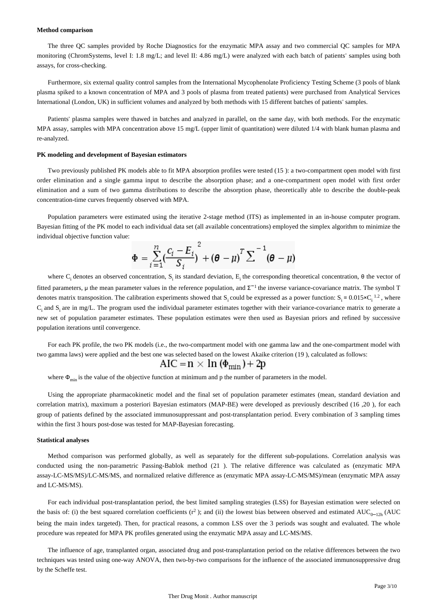#### **Method comparison**

The three QC samples provided by Roche Diagnostics for the enzymatic MPA assay and two commercial QC samples for MPA monitoring (ChromSystems, level I: 1.8 mg/L; and level II: 4.86 mg/L) were analyzed with each batch of patients' samples using both assays, for cross-checking.

Furthermore, six external quality control samples from the International Mycophenolate Proficiency Testing Scheme (3 pools of blank plasma spiked to a known concentration of MPA and 3 pools of plasma from treated patients) were purchased from Analytical Services International (London, UK) in sufficient volumes and analyzed by both methods with 15 different batches of patients' samples.

Patients' plasma samples were thawed in batches and analyzed in parallel, on the same day, with both methods. For the enzymatic MPA assay, samples with MPA concentration above 15 mg/L (upper limit of quantitation) were diluted 1/4 with blank human plasma and re-analyzed.

#### **PK modeling and development of Bayesian estimators**

Two previously published PK models able to fit MPA absorption profiles were tested (15 ): a two-compartment open model with first order elimination and a single gamma input to describe the absorption phase; and a one-compartment open model with first order elimination and a sum of two gamma distributions to describe the absorption phase, theoretically able to describe the double-peak concentration-time curves frequently observed with MPA.

Population parameters were estimated using the iterative 2-stage method (ITS) as implemented in an in-house computer program. Bayesian fitting of the PK model to each individual data set (all available concentrations) employed the simplex algorithm to minimize the individual objective function value:

$$
\Phi = \sum_{i=1}^{n} \left( \frac{c_i - E_i}{S_i} \right)^2 + \left( \theta - \mu \right)^T \sum^{n-1} \left( \theta - \mu \right)
$$

where C<sub>i</sub> denotes an observed concentration, S<sub>i</sub> its standard deviation, E<sub>i</sub> the corresponding theoretical concentration,  $\theta$  the vector of fitted parameters,  $\mu$  the mean parameter values in the reference population, and  $\Sigma^{-1}$  the inverse variance-covariance matrix. The symbol T denotes matrix transposition. The calibration experiments showed that  $S_i$  could be expressed as a power function:  $S_i = 0.015 \times C_i^{-1.2}$ , where  $C_i$  and  $S_i$  are in mg/L. The program used the individual parameter estimates together with their variance-covariance matrix to generate a new set of population parameter estimates. These population estimates were then used as Bayesian priors and refined by successive population iterations until convergence.

For each PK profile, the two PK models (i.e., the two-compartment model with one gamma law and the one-compartment model with two gamma laws) were applied and the best one was selected based on the lowest Akaike criterion (19), calculated as follows:

$$
AIC = \n\pi \times \n\pi (\n\varphi_{\text{min}}) + 2p
$$

where  $\Phi_{\min}$  is the value of the objective function at minimum and p the number of parameters in the model.

Using the appropriate pharmacokinetic model and the final set of population parameter estimates (mean, standard deviation and correlation matrix), maximum a posteriori Bayesian estimators (MAP-BE) were developed as previously described (16 ,20 ), for each group of patients defined by the associated immunosuppressant and post-transplantation period. Every combination of 3 sampling times within the first 3 hours post-dose was tested for MAP-Bayesian forecasting.

#### **Statistical analyses**

Method comparison was performed globally, as well as separately for the different sub-populations. Correlation analysis was conducted using the non-parametric Passing-Bablok method (21 ). The relative difference was calculated as (enzymatic MPA assay-LC-MS/MS)/LC-MS/MS, and normalized relative difference as (enzymatic MPA assay-LC-MS/MS)/mean (enzymatic MPA assay and LC-MS/MS).

For each individual post-transplantation period, the best limited sampling strategies (LSS) for Bayesian estimation were selected on the basis of: (i) the best squared correlation coefficients ( $r^2$ ); and (ii) the lowest bias between observed and estimated AUC<sub>0–12h</sub> (AUC being the main index targeted). Then, for practical reasons, a common LSS over the 3 periods was sought and evaluated. The whole procedure was repeated for MPA PK profiles generated using the enzymatic MPA assay and LC-MS/MS.

The influence of age, transplanted organ, associated drug and post-transplantation period on the relative differences between the two techniques was tested using one-way ANOVA, then two-by-two comparisons for the influence of the associated immunosuppressive drug by the Scheffe test.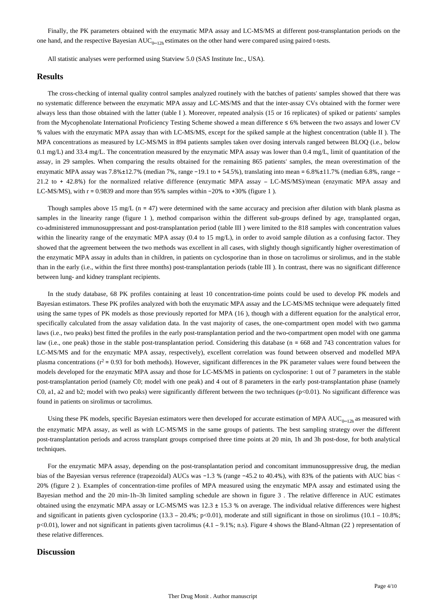Finally, the PK parameters obtained with the enzymatic MPA assay and LC-MS/MS at different post-transplantation periods on the one hand, and the respective Bayesian AUC<sub>0-12h</sub> estimates on the other hand were compared using paired t-tests.

All statistic analyses were performed using Statview 5.0 (SAS Institute Inc., USA).

#### **Results**

The cross-checking of internal quality control samples analyzed routinely with the batches of patients' samples showed that there was no systematic difference between the enzymatic MPA assay and LC-MS/MS and that the inter-assay CVs obtained with the former were always less than those obtained with the latter (table I ). Moreover, repeated analysis (15 or 16 replicates) of spiked or patients' samples from the Mycophenolate International Proficiency Testing Scheme showed a mean difference ≤ 6% between the two assays and lower CV % values with the enzymatic MPA assay than with LC-MS/MS, except for the spiked sample at the highest concentration (table II ). The MPA concentrations as measured by LC-MS/MS in 894 patients samples taken over dosing intervals ranged between BLOQ (i.e., below 0.1 mg/L) and 33.4 mg/L. The concentration measured by the enzymatic MPA assay was lower than 0.4 mg/L, limit of quantitation of the assay, in 29 samples. When comparing the results obtained for the remaining 865 patients' samples, the mean overestimation of the enzymatic MPA assay was 7.8%±12.7% (median 7%, range −19.1 to + 54.5%), translating into mean = 6.8%±11.7% (median 6.8%, range − 21.2 to + 42.8%) for the normalized relative difference (enzymatic MPA assay – LC-MS/MS)/mean (enzymatic MPA assay and LC-MS/MS), with r = 0.9839 and more than 95% samples within −20% to +30% (figure 1 ).

Though samples above 15 mg/L (n = 47) were determined with the same accuracy and precision after dilution with blank plasma as samples in the linearity range (figure 1 ), method comparison within the different sub-groups defined by age, transplanted organ, co-administered immunosuppressant and post-transplantation period (table III ) were limited to the 818 samples with concentration values within the linearity range of the enzymatic MPA assay (0.4 to 15 mg/L), in order to avoid sample dilution as a confusing factor. They showed that the agreement between the two methods was excellent in all cases, with slightly though significantly higher overestimation of the enzymatic MPA assay in adults than in children, in patients on cyclosporine than in those on tacrolimus or sirolimus, and in the stable than in the early (i.e., within the first three months) post-transplantation periods (table III ). In contrast, there was no significant difference between lung- and kidney transplant recipients.

In the study database, 68 PK profiles containing at least 10 concentration-time points could be used to develop PK models and Bayesian estimators. These PK profiles analyzed with both the enzymatic MPA assay and the LC-MS/MS technique were adequately fitted using the same types of PK models as those previously reported for MPA (16 ), though with a different equation for the analytical error, specifically calculated from the assay validation data. In the vast majority of cases, the one-compartment open model with two gamma laws (i.e., two peaks) best fitted the profiles in the early post-transplantation period and the two-compartment open model with one gamma law (i.e., one peak) those in the stable post-transplantation period. Considering this database (n = 668 and 743 concentration values for LC-MS/MS and for the enzymatic MPA assay, respectively), excellent correlation was found between observed and modelled MPA plasma concentrations  $(r^2 = 0.93$  for both methods). However, significant differences in the PK parameter values were found between the models developed for the enzymatic MPA assay and those for LC-MS/MS in patients on cyclosporine: 1 out of 7 parameters in the stable post-transplantation period (namely C0; model with one peak) and 4 out of 8 parameters in the early post-transplantation phase (namely C0, a1, a2 and b2; model with two peaks) were significantly different between the two techniques ( $p<0.01$ ). No significant difference was found in patients on sirolimus or tacrolimus.

Using these PK models, specific Bayesian estimators were then developed for accurate estimation of MPA  $AUC_{0-12h}$  as measured with the enzymatic MPA assay, as well as with LC-MS/MS in the same groups of patients. The best sampling strategy over the different post-transplantation periods and across transplant groups comprised three time points at 20 min, 1h and 3h post-dose, for both analytical techniques.

For the enzymatic MPA assay, depending on the post-transplantation period and concomitant immunosuppressive drug, the median bias of the Bayesian versus reference (trapezoidal) AUCs was −1.3 % (range −45.2 to 40.4%), with 83% of the patients with AUC bias < 20% (figure 2 ). Examples of concentration-time profiles of MPA measured using the enzymatic MPA assay and estimated using the Bayesian method and the 20 min-1h–3h limited sampling schedule are shown in figure 3 . The relative difference in AUC estimates obtained using the enzymatic MPA assay or LC-MS/MS was  $12.3 \pm 15.3$  % on average. The individual relative differences were highest and significant in patients given cyclosporine  $(13.3 - 20.4\%)$ ; p<0.01), moderate and still significant in those on sirolimus (10.1 – 10.8%; p<0.01), lower and not significant in patients given tacrolimus (4.1 – 9.1%; n.s). Figure 4 shows the Bland-Altman (22 ) representation of these relative differences.

#### **Discussion**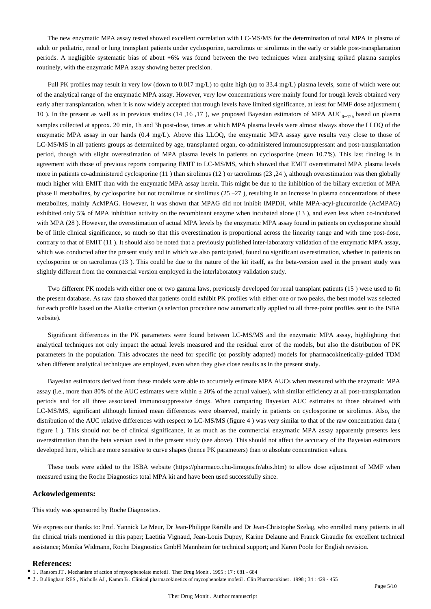The new enzymatic MPA assay tested showed excellent correlation with LC-MS/MS for the determination of total MPA in plasma of adult or pediatric, renal or lung transplant patients under cyclosporine, tacrolimus or sirolimus in the early or stable post-transplantation periods. A negligible systematic bias of about +6% was found between the two techniques when analysing spiked plasma samples routinely, with the enzymatic MPA assay showing better precision.

Full PK profiles may result in very low (down to 0.017 mg/L) to quite high (up to 33.4 mg/L) plasma levels, some of which were out of the analytical range of the enzymatic MPA assay. However, very low concentrations were mainly found for trough levels obtained very early after transplantation, when it is now widely accepted that trough levels have limited significance, at least for MMF dose adjustment ( 10 ). In the present as well as in previous studies (14,16,17), we proposed Bayesian estimators of MPA  $AUC_{0-12h}$  based on plasma samples collected at approx. 20 min, 1h and 3h post-dose, times at which MPA plasma levels were almost always above the LLOQ of the enzymatic MPA assay in our hands (0.4 mg/L). Above this LLOQ, the enzymatic MPA assay gave results very close to those of LC-MS/MS in all patients groups as determined by age, transplanted organ, co-administered immunosuppressant and post-transplantation period, though with slight overestimation of MPA plasma levels in patients on cyclosporine (mean 10.7%). This last finding is in agreement with those of previous reports comparing EMIT to LC-MS/MS, which showed that EMIT overestimated MPA plasma levels more in patients co-administered cyclosporine (11 ) than sirolimus (12 ) or tacrolimus (23 ,24 ), although overestimation was then globally much higher with EMIT than with the enzymatic MPA assay herein. This might be due to the inhibition of the biliary excretion of MPA phase II metabolites, by cyclosporine but not tacrolimus or sirolimus  $(25 - 27)$ , resulting in an increase in plasma concentrations of these metabolites, mainly AcMPAG. However, it was shown that MPAG did not inhibit IMPDH, while MPA-acyl-glucuronide (AcMPAG) exhibited only 5% of MPA inhibition activity on the recombinant enzyme when incubated alone (13 ), and even less when co-incubated with MPA (28 ). However, the overestimation of actual MPA levels by the enzymatic MPA assay found in patients on cyclosporine should be of little clinical significance, so much so that this overestimation is proportional across the linearity range and with time post-dose, contrary to that of EMIT (11 ). It should also be noted that a previously published inter-laboratory validation of the enzymatic MPA assay, which was conducted after the present study and in which we also participated, found no significant overestimation, whether in patients on cyclosporine or on tacrolimus (13 ). This could be due to the nature of the kit itself, as the beta-version used in the present study was slightly different from the commercial version employed in the interlaboratory validation study.

Two different PK models with either one or two gamma laws, previously developed for renal transplant patients (15 ) were used to fit the present database. As raw data showed that patients could exhibit PK profiles with either one or two peaks, the best model was selected for each profile based on the Akaike criterion (a selection procedure now automatically applied to all three-point profiles sent to the ISBA website).

Significant differences in the PK parameters were found between LC-MS/MS and the enzymatic MPA assay, highlighting that analytical techniques not only impact the actual levels measured and the residual error of the models, but also the distribution of PK parameters in the population. This advocates the need for specific (or possibly adapted) models for pharmacokinetically-guided TDM when different analytical techniques are employed, even when they give close results as in the present study.

Bayesian estimators derived from these models were able to accurately estimate MPA AUCs when measured with the enzymatic MPA assay (i.e., more than 80% of the AUC estimates were within ± 20% of the actual values), with similar efficiency at all post-transplantation periods and for all three associated immunosuppressive drugs. When comparing Bayesian AUC estimates to those obtained with LC-MS/MS, significant although limited mean differences were observed, mainly in patients on cyclosporine or sirolimus. Also, the distribution of the AUC relative differences with respect to LC-MS/MS (figure 4 ) was very similar to that of the raw concentration data ( figure 1 ). This should not be of clinical significance, in as much as the commercial enzymatic MPA assay apparently presents less overestimation than the beta version used in the present study (see above). This should not affect the accuracy of the Bayesian estimators developed here, which are more sensitive to curve shapes (hence PK parameters) than to absolute concentration values.

These tools were added to the ISBA website (https://pharmaco.chu-limoges.fr/abis.htm) to allow dose adjustment of MMF when measured using the Roche Diagnostics total MPA kit and have been used successfully since.

#### **Ackowledgements:**

This study was sponsored by Roche Diagnostics.

We express our thanks to: Prof. Yannick Le Meur, Dr Jean-Philippe Rérolle and Dr Jean-Christophe Szelag, who enrolled many patients in all the clinical trials mentioned in this paper; Laetitia Vignaud, Jean-Louis Dupuy, Karine Delaune and Franck Giraudie for excellent technical assistance; Monika Widmann, Roche Diagnostics GmbH Mannheim for technical support; and Karen Poole for English revision.

#### **References:**

2 . Bullingham RES , Nicholls AJ , Kamm B . Clinical pharmacokinetics of mycophenolate mofetil . Clin Pharmacokinet . 1998 ; 34 : 429 - 455

<sup>1 .</sup> Ransom JT . Mechanism of action of mycophenolate mofetil . Ther Drug Monit . 1995 ; 17 : 681 - 684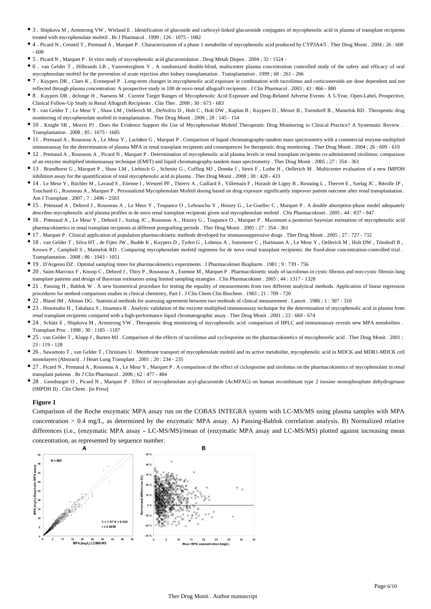- 3 . Shipkova M , Armstrong VW , Wieland E . Identification of glucoside and carboxyl-linked glucuronide conjugates of mycophenolic acid in plasma of transplant recipients treated with mycophenolate mofetil . Br J Pharmacol . 1999 ; 126 : 1075 - 1082
- 4 . Picard N , Cresteil T , Premaud A , Marquet P . Characterization of a phase 1 metabolite of mycophenolic acid produced by CYP3A4/5 . Ther Drug Monit . 2004 ; 26 : 600 - 608
- 5 . Picard N , Marquet P . In vitro study of mycophenolic acid glucuronidation . Drug Metab Dispos . 2004 ; 32 : 1524 -
- 6 . van Gelder T , Hilbrands LB , Vanrenterghem Y . A randomized double-blind, multicenter plasma concentration controlled study of the safety and efficacy of oral mycophenolate mofetil for the prevention of acute rejection after kidney transplantation . Transplantation . 1999 ; 68 : 261 - 266
- 7 . Kuypers DR , Claes K , Evenepoel P . Long-term changes in mycophenolic acid exposure in combination with tacrolimus and corticosteroids are dose dependent and not reflected through plasma concentration: A prospective study in 100 de novo renal allograFt recipients . J Clin Pharmacol . 2003 ; 43 : 866 - 880
- 8 . Kuypers DR , deJonge H , Naesens M . Current Target Ranges of Mycophenolic Acid Exposure and Drug-Related Adverse Events: A 5-Year, Open-Label, Prospective, Clinical Follow-Up Study in Renal Allograft Recipients . Clin Ther . 2008 ; 30 : 673 - 683
- 9 . van Gelder T , Le Meur Y , Shaw LM , Oellerich M , DeNofrio D , Holt C , Holt DW , Kaplan B , Kuypers D , Meiser B , Toenshoff B , Mamelok RD . Therapeutic drug monitoring of mycophenolate mofetil in transplantation . Ther Drug Monit . 2006 ; 28 : 145 - 154
- 10 . Knight SR , Morris PJ . Does the Evidence Support the Use of Mycophenolate Mofetil Therapeutic Drug Monitoring in Clinical Practice? A Systematic Review . Transplantation  $2008 \cdot 85 \cdot 1675 = 1685$
- 11 . Premaud A , Rousseau A , Le Meur Y , Lachâtre G , Marquet P . Comparison of liquid chromatography-tandem mass spectrometry with a commercial enzyme-multiplied immunoassay for the determination of plasma MPA in renal transplant recipients and consequences for therapeutic drug monitoring . Ther Drug Monit . 2004 ; 26 : 609 - 619
- 12 . Premaud A , Rousseau A , Picard N , Marquet P . Determination of mycophenolic acid plasma levels in renal transplant recipients co-administered sirolimus: comparison of an enzyme multiplied immunoassay technique (EMIT) and liquid chromatography-tandem mass spectrometry . Ther Drug Monit . 2005 ; 27 : 354 - 361
- 13 . Brandhorst G , Marquet P , Shaw LM , Liebisch G , Schmitz G , Coffing MJ , Domke I , Streit F , Luthe H , Oellerich M . Multicenter evaluation of a new IMPDH inhibition assay for the quantification of total mycophenolic acid in plasma . Ther Drug Monit . 2008 ; 30 : 428 - 433
- 14 . Le Meur Y , Büchler M , Lavaud S , Etienne I , Westeel PF , Thierry A , Caillard S , Villemain F , Hurault de Ligny B , Rostaing L , Thervet E , Szelag JC , Rérolle JP , Touchard G , Rousseau A , Marquet P . Personalized Mycophenolate Mofetil dosing based on drug exposure significantly improves patient outcome after renal transplantation . Am J Transplant . 2007 ; 7 : 2496 - 2503
- 15 . Prémaud A , Debord J , Rousseau A , Le Meur Y , Toupance O , Lebranchu Y , Hoizey G , Le Guellec C , Marquet P . A double absorption-phase model adequately describes mycophenolic acid plasma profiles in de novo renal transplant recipients given oral mycophenolate mofetil . Clin Pharmacokinet . 2005 ; 44 : 837 - 847
- 16 . Prémaud A , Le Meur Y , Debord J , Szelag JC , Rousseau A , Hoizey G , Toupance O , Marquet P . Maximum a posteriori bayesian estimation of mycophenolic acid pharmacokinetics in renal transplant recipients at different postgrafting periods . Ther Drug Monit . 2005 ; 27 : 354 - 361
- 17 . Marquet P . Clinical application of population pharmacokinetic methods developed for immunosuppressive drugs . Ther Drug Monit . 2005 ; 27 : 727 732
- 18 . van Gelder T , Silva HT , de Fijter JW , Budde K , Kuypers D , Tyden G , Lohmus A , Sommerer C , Hartmann A , Le Meur Y , Oellerich M , Holt DW , Tönshoff B , Keown P, Campbell S, Mamelok RD. Comparing mycophenolate mofetil regimens for de novo renal transplant recipients: the fixed-dose concentration-controlled trial. Transplantation . 2008 ; 86 : 1043 - 1051
- 19 . D'Argenio DZ . Optimal sampling times for pharmacokinetics experiments . J Pharmacokinet Biopharm . 1981 ; 9 : 739 756
- 20 . Saint-Marcoux F, Knoop C, Debord J, Thiry P, Rousseau A, Estenne M, Marquet P. Pharmacokinetic study of tacrolimus in cystic fibrosis and non-cystic fibrosis lung transplant patients and design of Bayesian estimators using limited sampling strategies . Clin Pharmacokinet . 2005 ; 44 : 1317 - 1328
- 21 . Passing H, Bablok W . A new biometrical procedure for testing the equality of measurements from two different analytical methods. Application of linear regression procedures for method comparison studies in clinical chemistry, Part I . J Clin Chem Clin Biochem . 1983 ; 21 : 709 - 720
- 22 . Bland JM , Altman DG . Statistical methods for assessing agreement between two methods of clinical measurement . Lancet . 1986 ; 1 : 307 310
- 23 . Hosotsubo H , Takahara S , Imamura R . Analytic validation of the enzyme multiplied immunoassay technique for the determination of mycophenolic acid in plasma from renal transplant recipients compared with a high-performance liquid chromatographic assay . Ther Drug Monit . 2001 ; 23 : 669 - 674
- 24 . Schütz E , Shipkova M , Armstrong VW . Therapeutic drug monitoring of mycophenolic acid: comparison of HPLC and immunoassay reveals new MPA metabolites . Transplant Proc . 1998 ; 30 : 1185 - 1187
- 25 . van Gelder T , Klupp J , Barten MJ . Comparison of the effects of tacrolimus and cyclosporine on the pharmacokinetics of mycophenolic acid . Ther Drug Monit . 2001 ; 23 : 119 - 128
- 26 . Sawamoto T , van Gelder T , Christians U . Membrane transport of mycophenolate mofetil and its active metabolite, mycophenolic acid in MDCK and MDR1-MDCK cell monolayers [Abstract] . J Heart Lung Transplant . 2001 ; 20 : 234 - 235
- 27 . Picard N, Premaud A, Rousseau A, Le Meur Y, Marquet P. A comparison of the effect of ciclosporine and sirolimus on the pharmacokinetics of mycophenolate in renal transplant patients . Br J Clin Pharmacol . 2006 ; 62 : 477 - 484
- 28 . Gensburger O , Picard N , Marquet P . Effect of mycophenolate acyl-glucuronide (AcMPAG) on human recombinant type 2 inosine monophosphate dehydrogenase (IMPDH II) . Clin Chem . [in Press]

#### **Figure 1**

Comparison of the Roche enzymatic MPA assay run on the COBAS INTEGRA system with LC-MS/MS using plasma samples with MPA concentration > 0.4 mg/L, as determined by the enzymatic MPA assay. A) Passing-Bablok correlation analysis. B) Normalized relative differences (i.e., (enzymatic MPA assay – LC-MS/MS)/mean of (enzymatic MPA assay and LC-MS/MS) plotted against increasing mean concentration, as represented by sequence number.

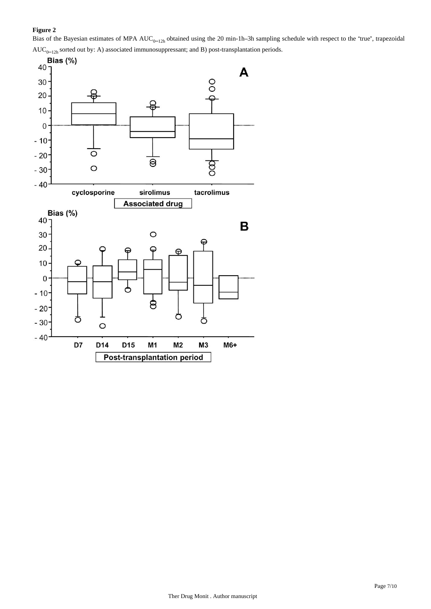# **Figure 2**

Bias of the Bayesian estimates of MPA  $AUC_{0-12h}$  obtained using the 20 min-1h-3h sampling schedule with respect to the "true", trapezoidal  $AUC_{0-12h}$  sorted out by: A) associated immunosuppressant; and B) post-transplantation periods.

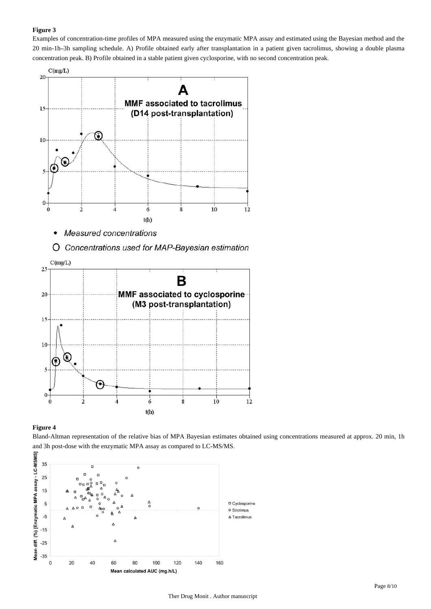### **Figure 3**

Examples of concentration-time profiles of MPA measured using the enzymatic MPA assay and estimated using the Bayesian method and the 20 min-1h–3h sampling schedule. A) Profile obtained early after transplantation in a patient given tacrolimus, showing a double plasma concentration peak. B) Profile obtained in a stable patient given cyclosporine, with no second concentration peak.



- **Measured concentrations**  $\bullet$
- O Concentrations used for MAP-Bayesian estimation



#### **Figure 4**

Bland-Altman representation of the relative bias of MPA Bayesian estimates obtained using concentrations measured at approx. 20 min, 1h and 3h post-dose with the enzymatic MPA assay as compared to LC-MS/MS.

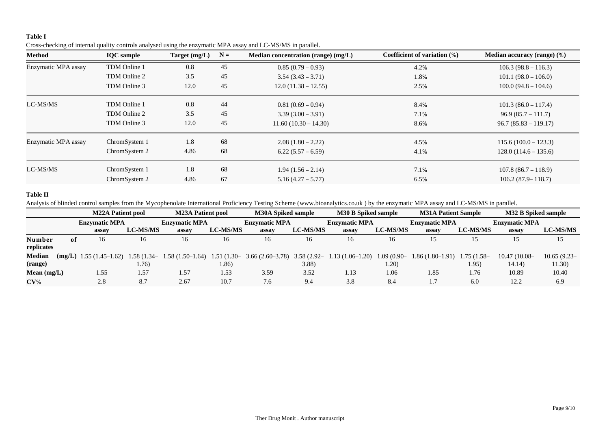## **Table I**

| Cross-checking of internal quality controls analysed using the enzymatic MPA assay and LC-MS/MS in parallel. |  |  |  |
|--------------------------------------------------------------------------------------------------------------|--|--|--|
|                                                                                                              |  |  |  |

| Method              | <b>IQC</b> sample | $N =$<br>Target (mg/L)<br>Median concentration (range) (mg/L) |    |                        | Coefficient of variation (%) | Median accuracy (range) (%) |  |
|---------------------|-------------------|---------------------------------------------------------------|----|------------------------|------------------------------|-----------------------------|--|
| Enzymatic MPA assay | TDM Online 1      | 45<br>0.8                                                     |    | $0.85(0.79-0.93)$      | 4.2%                         | $106.3(98.8 - 116.3)$       |  |
|                     | TDM Online 2      | 3.5                                                           | 45 | $3.54(3.43 - 3.71)$    | 1.8%                         | $101.1(98.0 - 106.0)$       |  |
|                     | TDM Online 3      | 12.0                                                          | 45 | $12.0(11.38 - 12.55)$  | 2.5%                         | $100.0(94.8 - 104.6)$       |  |
| LC-MS/MS            | TDM Online 1      | 0.8                                                           | 44 | $0.81(0.69 - 0.94)$    | 8.4%                         | $101.3(86.0 - 117.4)$       |  |
|                     | TDM Online 2      | 3.5                                                           | 45 | $3.39(3.00 - 3.91)$    | 7.1%                         | $96.9(85.7 - 111.7)$        |  |
|                     | TDM Online 3      | 12.0                                                          | 45 | $11.60(10.30 - 14.30)$ | 8.6%                         | $96.7(85.83 - 119.17)$      |  |
| Enzymatic MPA assay | ChromSystem 1     | 1.8                                                           | 68 | $2.08(1.80 - 2.22)$    | 4.5%                         | $115.6(100.0 - 123.3)$      |  |
|                     | ChromSystem 2     | 4.86                                                          | 68 | $6.22(5.57 - 6.59)$    | 4.1%                         | $128.0(114.6 - 135.6)$      |  |
| LC-MS/MS            | ChromSystem 1     | 1.8                                                           | 68 | $1.94(1.56 - 2.14)$    | 7.1%                         | $107.8(86.7 - 118.9)$       |  |
|                     | ChromSystem 2     | 4.86                                                          | 67 | $5.16(4.27 - 5.77)$    | 6.5%                         | $106.2(87.9 - 118.7)$       |  |

### **Table II**

Analysis of blinded control samples from the Mycophenolate International Proficiency Testing Scheme (www.bioanalytics.co.uk ) by the enzymatic MPA assay and LC-MS/MS in parallel.

|                      |    | <b>M22A Patient pool</b>                                                                                      |                 | <b>M23A Patient pool</b> |                 | <b>M30A Spiked sample</b> |                 | <b>M30 B Spiked sample</b> |                 | <b>M31A Patient Sample</b> |                 | M32 B Spiked sample  |                 |
|----------------------|----|---------------------------------------------------------------------------------------------------------------|-----------------|--------------------------|-----------------|---------------------------|-----------------|----------------------------|-----------------|----------------------------|-----------------|----------------------|-----------------|
|                      |    | <b>Enzymatic MPA</b>                                                                                          |                 | <b>Enzymatic MPA</b>     |                 | <b>Enzymatic MPA</b>      |                 | <b>Enzymatic MPA</b>       |                 | <b>Enzymatic MPA</b>       |                 | <b>Enzymatic MPA</b> |                 |
|                      |    | assay                                                                                                         | <b>LC-MS/MS</b> | assay                    | <b>LC-MS/MS</b> | assay                     | <b>LC-MS/MS</b> | assay                      | <b>LC-MS/MS</b> | assay                      | <b>LC-MS/MS</b> | assay                | <b>LC-MS/MS</b> |
| Number<br>replicates | of | 16                                                                                                            | 16              | 16                       | 16              | 16                        | 16              | 16                         | 16              | 15                         |                 | 15                   | 15              |
| Median               |    | $(mg/L)$ 1.55 (1.45-1.62) 1.58 (1.34-1.58 (1.50-1.64) 1.51 (1.30-3.66 (2.60-3.78) 3.58 (2.92-1.13 (1.06-1.20) |                 |                          |                 |                           |                 |                            | $1.09(0.90 -$   | $1.86(1.80-1.91)$          | $1.75(1.58 -$   | $10.47(10.08 -$      | $10.65(9.23 -$  |
| (range)              |    |                                                                                                               | (.76)           |                          | 1.86)           |                           | 3.88            |                            | 1.20)           |                            | 1.95)           | 14.14)               | 11.30)          |
| Mean $(mg/L)$        |    | 1.55                                                                                                          | 1.57            | 1.57                     | 1.53            | 3.59                      | 3.52            | 1.13                       | 1.06            | 1.85                       | 1.76            | 10.89                | 10.40           |
| $CV\%$               |    | 2.8                                                                                                           | 8.7             | 2.67                     | 10.7            | 7.6                       | 9.4             | 3.8                        | 8.4             |                            | 6.0             | 12.2                 | 6.9             |